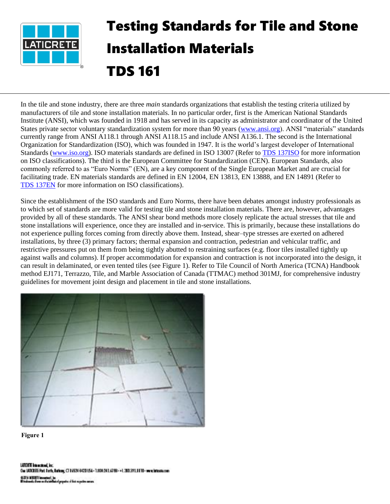

## Testing Standards for Tile and Stone Installation Materials TDS 161

In the tile and stone industry, there are three *main* standards organizations that establish the testing criteria utilized by manufacturers of tile and stone installation materials. In no particular order, first is the American National Standards Institute (ANSI), which was founded in 1918 and has served in its capacity as administrator and coordinator of the United States private sector voluntary standardization system for more than 90 years [\(www.ansi.org\)](http://www.ansi.org/). ANSI "materials" standards currently range from ANSI A118.1 through ANSI A118.15 and include ANSI A136.1. The second is the International Organization for Standardization (ISO), which was founded in 1947. It is the world's largest developer of International Standards [\(www.iso.org\)](http://www.iso.org/). ISO materials standards are defined in ISO 13007 (Refer to [TDS 137ISO](https://cdn.laticrete.com/~/media/support-and-downloads/technical-datasheets/tds137iso.ashx) for more information on ISO classifications). The third is the European Committee for Standardization (CEN). European Standards, also commonly referred to as "Euro Norms" (EN), are a key component of the Single European Market and are crucial for facilitating trade. EN materials standards are defined in EN 12004, EN 13813, EN 13888, and EN 14891 (Refer to [TDS 137EN](https://cdn.laticrete.com/~/media/support-and-downloads/technical-datasheets/tds137en.ashx) for more information on ISO classifications).

Since the establishment of the ISO standards and Euro Norms, there have been debates amongst industry professionals as to which set of standards are more valid for testing tile and stone installation materials. There are, however, advantages provided by all of these standards. The ANSI shear bond methods more closely replicate the actual stresses that tile and stone installations will experience, once they are installed and in-service. This is primarily, because these installations do not experience pulling forces coming from directly above them. Instead, shear–type stresses are exerted on adhered installations, by three (3) primary factors; thermal expansion and contraction, pedestrian and vehicular traffic, and restrictive pressures put on them from being tightly abutted to restraining surfaces (e.g. floor tiles installed tightly up against walls and columns). If proper accommodation for expansion and contraction is not incorporated into the design, it can result in delaminated, or even tented tiles (see Figure 1). Refer to Tile Council of North America (TCNA) Handbook method EJ171, Terrazzo, Tile, and Marble Association of Canada (TTMAC) method 301MJ, for comprehensive industry guidelines for movement joint design and placement in tile and stone installations.



**Figure 1**